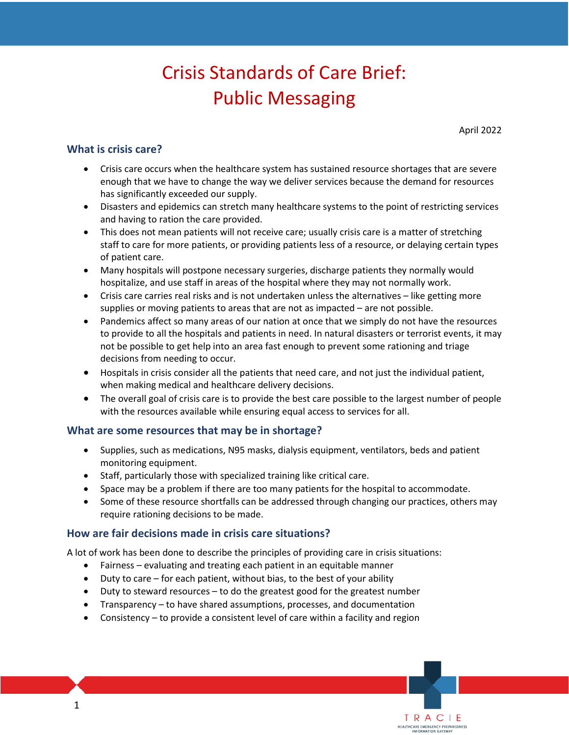# Public Messaging<br>April 2022 Crisis Standards of Care Brief:

TRACIE HEALTHCARE EMERGENCY PREPAREDNESS INFORMATION GATEWAY

## **What is crisis care?**

- Crisis care occurs when the healthcare system has sustained resource shortages that are severe enough that we have to change the way we deliver services because the demand for resources has significantly exceeded our supply.
- Disasters and epidemics can stretch many healthcare systems to the point of restricting services and having to ration the care provided.
- This does not mean patients will not receive care; usually crisis care is a matter of stretching staff to care for more patients, or providing patients less of a resource, or delaying certain types of patient care.
- Many hospitals will postpone necessary surgeries, discharge patients they normally would hospitalize, and use staff in areas of the hospital where they may not normally work.
- • Crisis care carries real risks and is not undertaken unless the alternatives like getting more supplies or moving patients to areas that are not as impacted – are not possible.
- • Pandemics affect so many areas of our nation at once that we simply do not have the resources to provide to all the hospitals and patients in need. In natural disasters or terrorist events, it may not be possible to get help into an area fast enough to prevent some rationing and triage decisions from needing to occur.
- Hospitals in crisis consider all the patients that need care, and not just the individual patient, when making medical and healthcare delivery decisions.
- • The overall goal of crisis care is to provide the best care possible to the largest number of people with the resources available while ensuring equal access to services for all.

#### **What are some resources that may be in shortage?**

- Supplies, such as medications, N95 masks, dialysis equipment, ventilators, beds and patient monitoring equipment.
- Staff, particularly those with specialized training like critical care.
- Space may be a problem if there are too many patients for the hospital to accommodate.
- require rationing decisions to be made. • Some of these resource shortfalls can be addressed through changing our practices, others may

## **How are fair decisions made in crisis care situations?**

A lot of work has been done to describe the principles of providing care in crisis situations:

- Fairness evaluating and treating each patient in an equitable manner
- Duty to care for each patient, without bias, to the best of your ability
- Duty to steward resources to do the greatest good for the greatest number
- Transparency to have shared assumptions, processes, and documentation
- Consistency to provide a consistent level of care within a facility and region